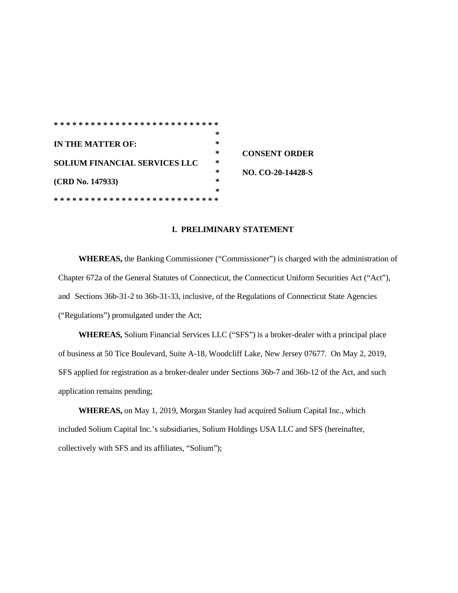|                                      | ∗      |                      |
|--------------------------------------|--------|----------------------|
| <b>IN THE MATTER OF:</b>             | ∗      |                      |
|                                      | *      | <b>CONSENT ORDER</b> |
| <b>SOLIUM FINANCIAL SERVICES LLC</b> | ∗      |                      |
|                                      | *      | NO. CO-20-14428-S    |
| (CRD No. 147933)                     | ∗      |                      |
|                                      | $\ast$ |                      |
|                                      |        |                      |

### **I. PRELIMINARY STATEMENT**

**WHEREAS,** the Banking Commissioner ("Commissioner") is charged with the administration of Chapter 672a of the General Statutes of Connecticut, the Connecticut Uniform Securities Act ("Act"), and Sections 36b-31-2 to 36b-31-33, inclusive, of the Regulations of Connecticut State Agencies ("Regulations") promulgated under the Act;

**WHEREAS,** Solium Financial Services LLC ("SFS") is a broker-dealer with a principal place of business at 50 Tice Boulevard, Suite A-18, Woodcliff Lake, New Jersey 07677. On May 2, 2019, SFS applied for registration as a broker-dealer under Sections 36b-7 and 36b-12 of the Act, and such application remains pending;

**WHEREAS,** on May 1, 2019, Morgan Stanley had acquired Solium Capital Inc., which included Solium Capital Inc.'s subsidiaries, Solium Holdings USA LLC and SFS (hereinafter, collectively with SFS and its affiliates, "Solium");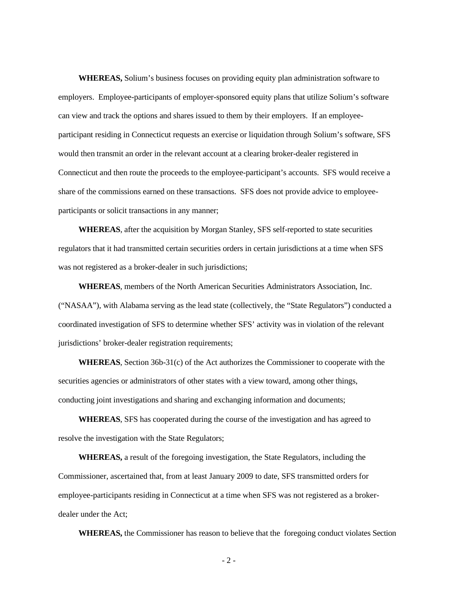**WHEREAS,** Solium's business focuses on providing equity plan administration software to employers. Employee-participants of employer-sponsored equity plans that utilize Solium's software can view and track the options and shares issued to them by their employers. If an employeeparticipant residing in Connecticut requests an exercise or liquidation through Solium's software, SFS would then transmit an order in the relevant account at a clearing broker-dealer registered in Connecticut and then route the proceeds to the employee-participant's accounts. SFS would receive a share of the commissions earned on these transactions. SFS does not provide advice to employeeparticipants or solicit transactions in any manner;

**WHEREAS**, after the acquisition by Morgan Stanley, SFS self-reported to state securities regulators that it had transmitted certain securities orders in certain jurisdictions at a time when SFS was not registered as a broker-dealer in such jurisdictions;

**WHEREAS**, members of the North American Securities Administrators Association, Inc. ("NASAA"), with Alabama serving as the lead state (collectively, the "State Regulators") conducted a coordinated investigation of SFS to determine whether SFS' activity was in violation of the relevant jurisdictions' broker-dealer registration requirements;

**WHEREAS**, Section 36b-31(c) of the Act authorizes the Commissioner to cooperate with the securities agencies or administrators of other states with a view toward, among other things, conducting joint investigations and sharing and exchanging information and documents;

**WHEREAS**, SFS has cooperated during the course of the investigation and has agreed to resolve the investigation with the State Regulators;

**WHEREAS,** a result of the foregoing investigation, the State Regulators, including the Commissioner, ascertained that, from at least January 2009 to date, SFS transmitted orders for employee-participants residing in Connecticut at a time when SFS was not registered as a brokerdealer under the Act;

**WHEREAS,** the Commissioner has reason to believe that the foregoing conduct violates Section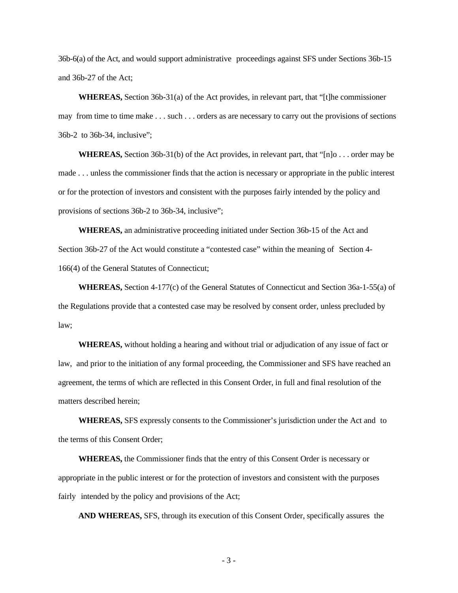36b-6(a) of the Act, and would support administrative proceedings against SFS under Sections 36b-15 and 36b-27 of the Act;

**WHEREAS,** Section 36b-31(a) of the Act provides, in relevant part, that "[t]he commissioner may from time to time make . . . such . . . orders as are necessary to carry out the provisions of sections 36b-2 to 36b-34, inclusive";

**WHEREAS,** Section 36b-31(b) of the Act provides, in relevant part, that "[n]o . . . order may be made . . . unless the commissioner finds that the action is necessary or appropriate in the public interest or for the protection of investors and consistent with the purposes fairly intended by the policy and provisions of sections 36b-2 to 36b-34, inclusive";

**WHEREAS,** an administrative proceeding initiated under Section 36b-15 of the Act and Section 36b-27 of the Act would constitute a "contested case" within the meaning of Section 4- 166(4) of the General Statutes of Connecticut;

**WHEREAS,** Section 4-177(c) of the General Statutes of Connecticut and Section 36a-1-55(a) of the Regulations provide that a contested case may be resolved by consent order, unless precluded by law;

**WHEREAS,** without holding a hearing and without trial or adjudication of any issue of fact or law, and prior to the initiation of any formal proceeding, the Commissioner and SFS have reached an agreement, the terms of which are reflected in this Consent Order, in full and final resolution of the matters described herein;

**WHEREAS,** SFS expressly consents to the Commissioner's jurisdiction under the Act and to the terms of this Consent Order;

**WHEREAS,** the Commissioner finds that the entry of this Consent Order is necessary or appropriate in the public interest or for the protection of investors and consistent with the purposes fairly intended by the policy and provisions of the Act;

**AND WHEREAS,** SFS, through its execution of this Consent Order, specifically assures the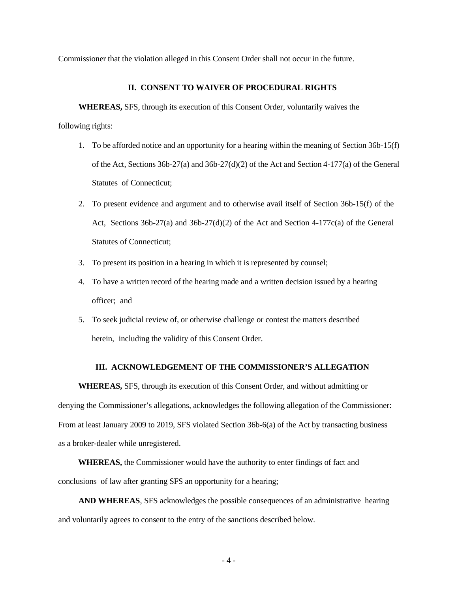Commissioner that the violation alleged in this Consent Order shall not occur in the future.

## **II. CONSENT TO WAIVER OF PROCEDURAL RIGHTS**

**WHEREAS,** SFS, through its execution of this Consent Order, voluntarily waives the

following rights:

- 1. To be afforded notice and an opportunity for a hearing within the meaning of Section 36b-15(f) of the Act, Sections 36b-27(a) and 36b-27(d)(2) of the Act and Section 4-177(a) of the General Statutes of Connecticut;
- 2. To present evidence and argument and to otherwise avail itself of Section 36b-15(f) of the Act, Sections  $36b-27(a)$  and  $36b-27(d)(2)$  of the Act and Section 4-177c(a) of the General Statutes of Connecticut;
- 3. To present its position in a hearing in which it is represented by counsel;
- 4. To have a written record of the hearing made and a written decision issued by a hearing officer; and
- 5. To seek judicial review of, or otherwise challenge or contest the matters described herein, including the validity of this Consent Order.

# **III. ACKNOWLEDGEMENT OF THE COMMISSIONER'S ALLEGATION**

**WHEREAS,** SFS, through its execution of this Consent Order, and without admitting or denying the Commissioner's allegations, acknowledges the following allegation of the Commissioner: From at least January 2009 to 2019, SFS violated Section 36b-6(a) of the Act by transacting business as a broker-dealer while unregistered.

**WHEREAS,** the Commissioner would have the authority to enter findings of fact and conclusions of law after granting SFS an opportunity for a hearing;

**AND WHEREAS**, SFS acknowledges the possible consequences of an administrative hearing and voluntarily agrees to consent to the entry of the sanctions described below.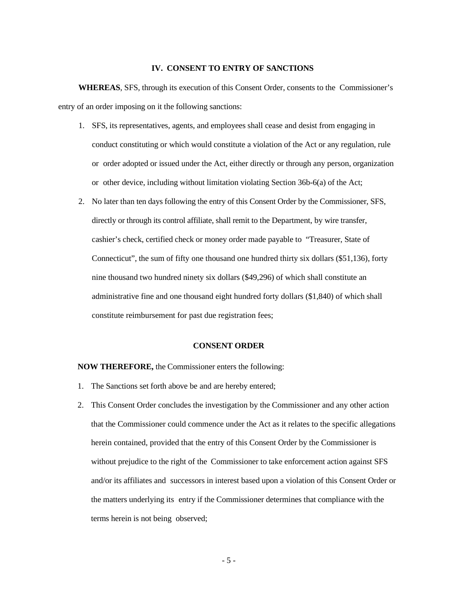# **IV. CONSENT TO ENTRY OF SANCTIONS**

**WHEREAS**, SFS, through its execution of this Consent Order, consents to the Commissioner's entry of an order imposing on it the following sanctions:

- 1. SFS, its representatives, agents, and employees shall cease and desist from engaging in conduct constituting or which would constitute a violation of the Act or any regulation, rule or order adopted or issued under the Act, either directly or through any person, organization or other device, including without limitation violating Section 36b-6(a) of the Act;
- 2. No later than ten days following the entry of this Consent Order by the Commissioner, SFS, directly or through its control affiliate, shall remit to the Department, by wire transfer, cashier's check, certified check or money order made payable to "Treasurer, State of Connecticut", the sum of fifty one thousand one hundred thirty six dollars (\$51,136), forty nine thousand two hundred ninety six dollars (\$49,296) of which shall constitute an administrative fine and one thousand eight hundred forty dollars (\$1,840) of which shall constitute reimbursement for past due registration fees;

# **CONSENT ORDER**

#### **NOW THEREFORE,** the Commissioner enters the following:

- 1. The Sanctions set forth above be and are hereby entered;
- 2. This Consent Order concludes the investigation by the Commissioner and any other action that the Commissioner could commence under the Act as it relates to the specific allegations herein contained, provided that the entry of this Consent Order by the Commissioner is without prejudice to the right of the Commissioner to take enforcement action against SFS and/or its affiliates and successors in interest based upon a violation of this Consent Order or the matters underlying its entry if the Commissioner determines that compliance with the terms herein is not being observed;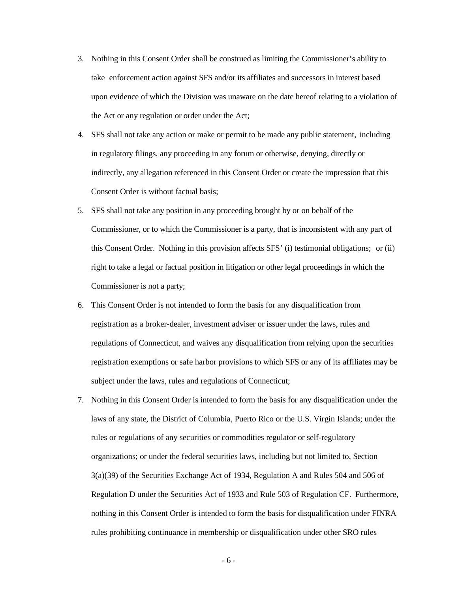- 3. Nothing in this Consent Order shall be construed as limiting the Commissioner's ability to take enforcement action against SFS and/or its affiliates and successors in interest based upon evidence of which the Division was unaware on the date hereof relating to a violation of the Act or any regulation or order under the Act;
- 4. SFS shall not take any action or make or permit to be made any public statement, including in regulatory filings, any proceeding in any forum or otherwise, denying, directly or indirectly, any allegation referenced in this Consent Order or create the impression that this Consent Order is without factual basis;
- 5. SFS shall not take any position in any proceeding brought by or on behalf of the Commissioner, or to which the Commissioner is a party, that is inconsistent with any part of this Consent Order. Nothing in this provision affects SFS' (i) testimonial obligations; or (ii) right to take a legal or factual position in litigation or other legal proceedings in which the Commissioner is not a party;
- 6. This Consent Order is not intended to form the basis for any disqualification from registration as a broker-dealer, investment adviser or issuer under the laws, rules and regulations of Connecticut, and waives any disqualification from relying upon the securities registration exemptions or safe harbor provisions to which SFS or any of its affiliates may be subject under the laws, rules and regulations of Connecticut;
- 7. Nothing in this Consent Order is intended to form the basis for any disqualification under the laws of any state, the District of Columbia, Puerto Rico or the U.S. Virgin Islands; under the rules or regulations of any securities or commodities regulator or self-regulatory organizations; or under the federal securities laws, including but not limited to, Section 3(a)(39) of the Securities Exchange Act of 1934, Regulation A and Rules 504 and 506 of Regulation D under the Securities Act of 1933 and Rule 503 of Regulation CF. Furthermore, nothing in this Consent Order is intended to form the basis for disqualification under FINRA rules prohibiting continuance in membership or disqualification under other SRO rules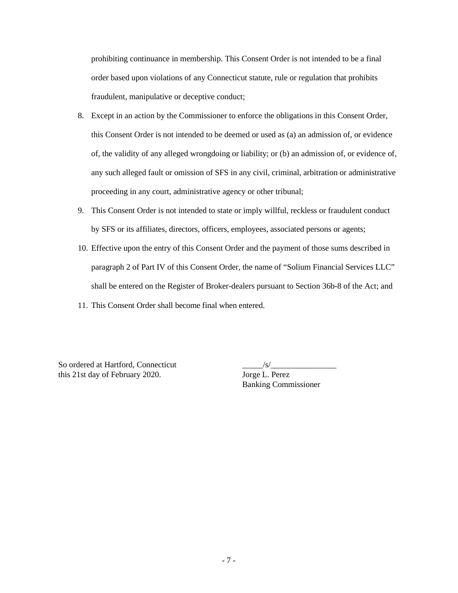prohibiting continuance in membership. This Consent Order is not intended to be a final order based upon violations of any Connecticut statute, rule or regulation that prohibits fraudulent, manipulative or deceptive conduct;

- 8. Except in an action by the Commissioner to enforce the obligations in this Consent Order, this Consent Order is not intended to be deemed or used as (a) an admission of, or evidence of, the validity of any alleged wrongdoing or liability; or (b) an admission of, or evidence of, any such alleged fault or omission of SFS in any civil, criminal, arbitration or administrative proceeding in any court, administrative agency or other tribunal;
- 9. This Consent Order is not intended to state or imply willful, reckless or fraudulent conduct by SFS or its affiliates, directors, officers, employees, associated persons or agents;
- 10. Effective upon the entry of this Consent Order and the payment of those sums described in paragraph 2 of Part IV of this Consent Order, the name of "Solium Financial Services LLC" shall be entered on the Register of Broker-dealers pursuant to Section 36b-8 of the Act; and
- 11. This Consent Order shall become final when entered.

So ordered at Hartford, Connecticut \_\_\_\_\_/s/\_\_\_\_\_\_\_\_\_\_\_\_\_\_\_\_ this 21st day of February 2020. Jorge L. Perez

Banking Commissioner